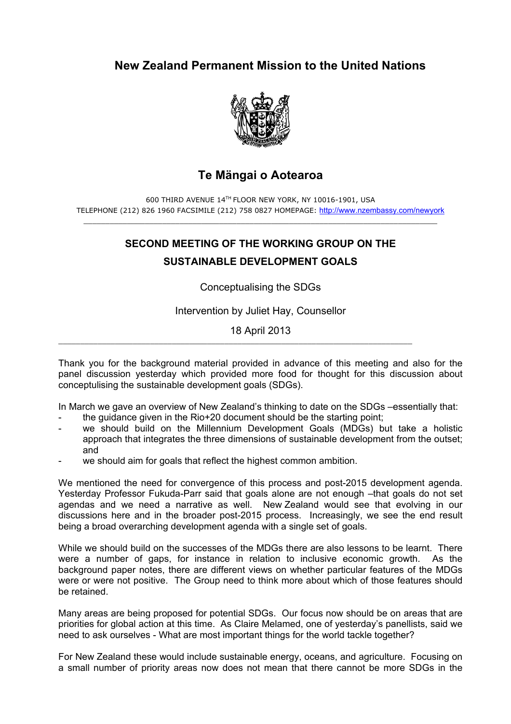## **New Zealand Permanent Mission to the United Nations**



## **Te Mängai o Aotearoa**

600 THIRD AVENUE 14TH FLOOR NEW YORK, NY 10016-1901, USA TELEPHONE (212) 826 1960 FACSIMILE (212) 758 0827 HOMEPAGE: http://www.nzembassy.com/newyork

## **SECOND MEETING OF THE WORKING GROUP ON THE SUSTAINABLE DEVELOPMENT GOALS**

Conceptualising the SDGs

Intervention by Juliet Hay, Counsellor

18 April 2013

\_\_\_\_\_\_\_\_\_\_\_\_\_\_\_\_\_\_\_\_\_\_\_\_\_\_\_\_\_\_\_\_\_\_\_\_\_\_\_\_\_\_\_\_\_\_\_\_\_\_\_\_\_\_\_\_\_\_\_\_\_\_\_\_\_\_\_\_\_\_\_\_\_\_\_\_\_\_\_\_\_

Thank you for the background material provided in advance of this meeting and also for the panel discussion yesterday which provided more food for thought for this discussion about conceptulising the sustainable development goals (SDGs).

In March we gave an overview of New Zealand's thinking to date on the SDGs –essentially that:

- the guidance given in the Rio+20 document should be the starting point;
- we should build on the Millennium Development Goals (MDGs) but take a holistic approach that integrates the three dimensions of sustainable development from the outset; and
- we should aim for goals that reflect the highest common ambition.

We mentioned the need for convergence of this process and post-2015 development agenda. Yesterday Professor Fukuda-Parr said that goals alone are not enough –that goals do not set agendas and we need a narrative as well. New Zealand would see that evolving in our discussions here and in the broader post-2015 process. Increasingly, we see the end result being a broad overarching development agenda with a single set of goals.

While we should build on the successes of the MDGs there are also lessons to be learnt. There were a number of gaps, for instance in relation to inclusive economic growth. As the background paper notes, there are different views on whether particular features of the MDGs were or were not positive. The Group need to think more about which of those features should be retained.

Many areas are being proposed for potential SDGs. Our focus now should be on areas that are priorities for global action at this time. As Claire Melamed, one of yesterday's panellists, said we need to ask ourselves - What are most important things for the world tackle together?

For New Zealand these would include sustainable energy, oceans, and agriculture. Focusing on a small number of priority areas now does not mean that there cannot be more SDGs in the